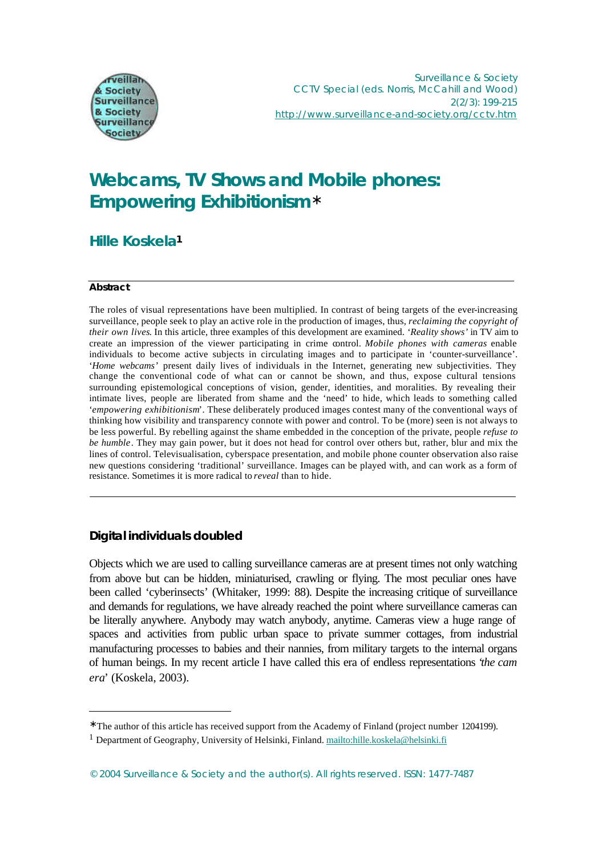

# **Webcams, TV Shows and Mobile phones: Empowering Exhibitionism\***

# **Hille Koskela<sup>1</sup>**

#### **Abstract**

1

The roles of visual representations have been multiplied. In contrast of being targets of the ever-increasing surveillance, people seek to play an active role in the production of images, thus, *reclaiming the copyright of their own lives*. In this article, three examples of this development are examined. *'Reality shows'* in TV aim to create an impression of the viewer participating in crime control. *Mobile phones with cameras* enable individuals to become active subjects in circulating images and to participate in 'counter-surveillance'. '*Home webcams*' present daily lives of individuals in the Internet, generating new subjectivities. They change the conventional code of what can or cannot be shown, and thus, expose cultural tensions surrounding epistemological conceptions of vision, gender, identities, and moralities. By revealing their intimate lives, people are liberated from shame and the 'need' to hide, which leads to something called '*empowering exhibitionism*'. These deliberately produced images contest many of the conventional ways of thinking how visibility and transparency connote with power and control. To be (more) seen is not always to be less powerful. By rebelling against the shame embedded in the conception of the private, people *refuse to be humble*. They may gain power, but it does not head for control over others but, rather, blur and mix the lines of control. Televisualisation, cyberspace presentation, and mobile phone counter observation also raise new questions considering 'traditional' surveillance. Images can be played with, and can work as a form of resistance. Sometimes it is more radical to *reveal* than to hide.

# **Digital individuals doubled**

Objects which we are used to calling surveillance cameras are at present times not only watching from above but can be hidden, miniaturised, crawling or flying. The most peculiar ones have been called 'cyberinsects' (Whitaker, 1999: 88). Despite the increasing critique of surveillance and demands for regulations, we have already reached the point where surveillance cameras can be literally anywhere. Anybody may watch anybody, anytime. Cameras view a huge range of spaces and activities from public urban space to private summer cottages, from industrial manufacturing processes to babies and their nannies, from military targets to the internal organs of human beings. In my recent article I have called this era of endless representations '*the cam era*' (Koskela, 2003).

<sup>∗</sup> The author of this article has received support from the Academy of Finland (project number 1204199).

<sup>&</sup>lt;sup>1</sup> Department of Geography, University of Helsinki, Finland.<mailto:hille.koskela@helsinki.fi>

<sup>© 2004</sup> *Surveillance & Society* and the author(s). All rights reserved. ISSN: 1477-7487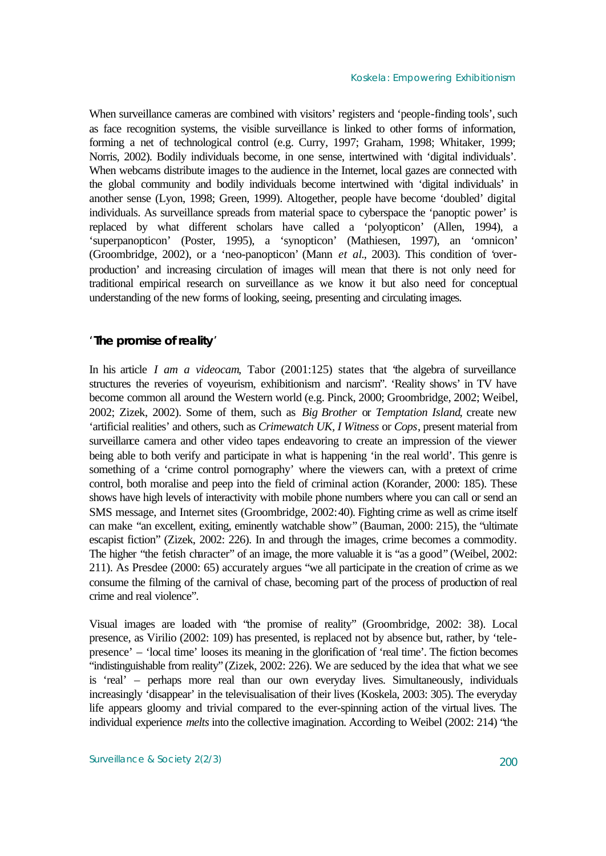When surveillance cameras are combined with visitors' registers and 'people-finding tools', such as face recognition systems, the visible surveillance is linked to other forms of information, forming a net of technological control (e.g. Curry, 1997; Graham, 1998; Whitaker, 1999; Norris, 2002). Bodily individuals become, in one sense, intertwined with 'digital individuals'. When webcams distribute images to the audience in the Internet, local gazes are connected with the global community and bodily individuals become intertwined with 'digital individuals' in another sense (Lyon, 1998; Green, 1999). Altogether, people have become 'doubled' digital individuals. As surveillance spreads from material space to cyberspace the 'panoptic power' is replaced by what different scholars have called a 'polyopticon' (Allen, 1994), a 'superpanopticon' (Poster, 1995), a 'synopticon' (Mathiesen, 1997), an 'omnicon' (Groombridge, 2002), or a 'neo-panopticon' (Mann *et al*., 2003). This condition of 'overproduction' and increasing circulation of images will mean that there is not only need for traditional empirical research on surveillance as we know it but also need for conceptual understanding of the new forms of looking, seeing, presenting and circulating images.

#### '**The promise of reality**'

In his article *I am a videocam*, Tabor (2001:125) states that "the algebra of surveillance structures the reveries of voyeurism, exhibitionism and narcism". 'Reality shows' in TV have become common all around the Western world (e.g. Pinck, 2000; Groombridge, 2002; Weibel, 2002; Zizek, 2002). Some of them, such as *Big Brother* or *Temptation Island*, create new 'artificial realities' and others, such as *Crimewatch UK, I Witness* or *Cops*, present material from surveillance camera and other video tapes endeavoring to create an impression of the viewer being able to both verify and participate in what is happening 'in the real world'. This genre is something of a 'crime control pornography' where the viewers can, with a pretext of crime control, both moralise and peep into the field of criminal action (Korander, 2000: 185). These shows have high levels of interactivity with mobile phone numbers where you can call or send an SMS message, and Internet sites (Groombridge, 2002: 40). Fighting crime as well as crime itself can make "an excellent, exiting, eminently watchable show" (Bauman, 2000: 215), the "ultimate escapist fiction" (Zizek, 2002: 226). In and through the images, crime becomes a commodity. The higher "the fetish character" of an image, the more valuable it is "as a good" (Weibel, 2002: 211). As Presdee (2000: 65) accurately argues "we all participate in the creation of crime as we consume the filming of the carnival of chase, becoming part of the process of production of real crime and real violence".

Visual images are loaded with "the promise of reality" (Groombridge, 2002: 38). Local presence, as Virilio (2002: 109) has presented, is replaced not by absence but, rather, by 'telepresence' – 'local time' looses its meaning in the glorification of 'real time'. The fiction becomes "indistinguishable from reality" (Zizek, 2002: 226). We are seduced by the idea that what we see is 'real' – perhaps more real than our own everyday lives. Simultaneously, individuals increasingly 'disappear' in the televisualisation of their lives (Koskela, 2003: 305). The everyday life appears gloomy and trivial compared to the ever-spinning action of the virtual lives. The individual experience *melts* into the collective imagination. According to Weibel (2002: 214) "the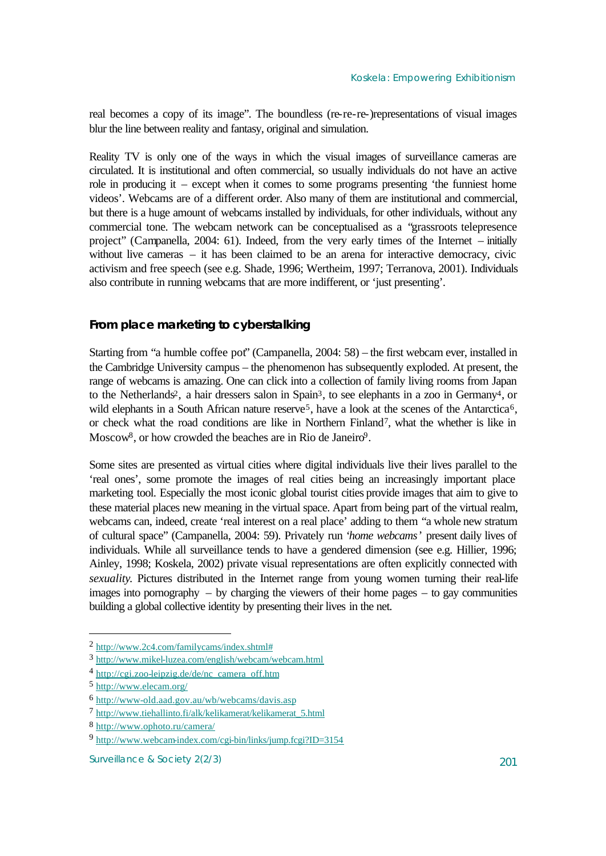real becomes a copy of its image". The boundless (re-re-re-)representations of visual images blur the line between reality and fantasy, original and simulation.

Reality TV is only one of the ways in which the visual images of surveillance cameras are circulated. It is institutional and often commercial, so usually individuals do not have an active role in producing it – except when it comes to some programs presenting 'the funniest home videos'. Webcams are of a different order. Also many of them are institutional and commercial, but there is a huge amount of webcams installed by individuals, for other individuals, without any commercial tone. The webcam network can be conceptualised as a "grassroots telepresence project" (Campanella, 2004: 61). Indeed, from the very early times of the Internet – initially without live cameras – it has been claimed to be an arena for interactive democracy, civic activism and free speech (see e.g. Shade, 1996; Wertheim, 1997; Terranova, 2001). Individuals also contribute in running webcams that are more indifferent, or 'just presenting'.

### **From place marketing to cyberstalking**

Starting from "a humble coffee pot" (Campanella, 2004: 58) – the first webcam ever, installed in the Cambridge University campus – the phenomenon has subsequently exploded. At present, the range of webcams is amazing. One can click into a collection of family living rooms from Japan to the Netherlands2, a hair dressers salon in Spain3, to see elephants in a zoo in Germany4, or wild elephants in a South African nature reserve<sup>5</sup>, have a look at the scenes of the Antarctica<sup>6</sup>, or check what the road conditions are like in Northern Finland<sup>7</sup>, what the whether is like in Moscow<sup>8</sup>, or how crowded the beaches are in Rio de Janeiro<sup>9</sup>.

Some sites are presented as virtual cities where digital individuals live their lives parallel to the 'real ones', some promote the images of real cities being an increasingly important place marketing tool. Especially the most iconic global tourist cities provide images that aim to give to these material places new meaning in the virtual space. Apart from being part of the virtual realm, webcams can, indeed, create 'real interest on a real place' adding to them "a whole new stratum of cultural space" (Campanella, 2004: 59). Privately run '*home webcams*' present daily lives of individuals. While all surveillance tends to have a gendered dimension (see e.g. Hillier, 1996; Ainley, 1998; Koskela, 2002) private visual representations are often explicitly connected with *sexuality*. Pictures distributed in the Internet range from young women turning their real-life images into pornography – by charging the viewers of their home pages – to gay communities building a global collective identity by presenting their lives in the net.

l

<sup>2</sup> <http://www.2c4.com/familycams/index.shtml#>

<sup>3</sup> <http://www.mikel-luzea.com/english/webcam/webcam.html>

<sup>4</sup> [http://cgi.zoo-leipzig.de/de/nc\\_camera\\_off.htm](http://cgi.zoo-leipzig.de/de/nc_camera_off.htm)

<sup>5</sup> <http://www.elecam.org/>

<sup>6</sup> <http://www-old.aad.gov.au/wb/webcams/davis.asp>

<sup>7</sup> [http://www.tiehallinto.fi/alk/kelikamerat/kelikamerat\\_5.html](http://www.tiehallinto.fi/alk/kelikamerat/kelikamerat_5.html)

<sup>8</sup> <http://www.ophoto.ru/camera/>

<sup>9</sup> <http://www.webcam-index.com/cgi-bin/links/jump.fcgi?ID=3154>

*Surveillance & Society* 2(2/3) 201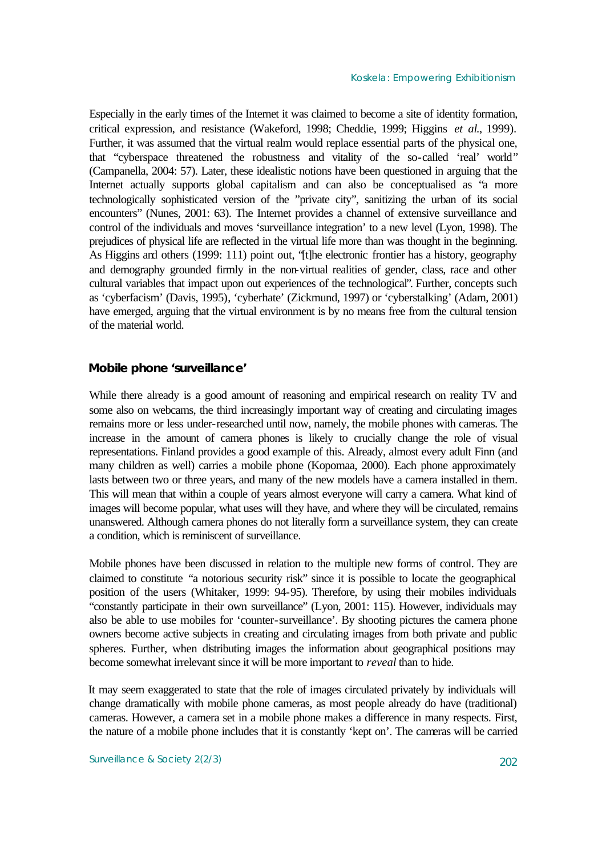Especially in the early times of the Internet it was claimed to become a site of identity formation, critical expression, and resistance (Wakeford, 1998; Cheddie, 1999; Higgins *et al*., 1999). Further, it was assumed that the virtual realm would replace essential parts of the physical one, that "cyberspace threatened the robustness and vitality of the so-called 'real' world" (Campanella, 2004: 57). Later, these idealistic notions have been questioned in arguing that the Internet actually supports global capitalism and can also be conceptualised as "a more technologically sophisticated version of the "private city", sanitizing the urban of its social encounters" (Nunes, 2001: 63). The Internet provides a channel of extensive surveillance and control of the individuals and moves 'surveillance integration' to a new level (Lyon, 1998). The prejudices of physical life are reflected in the virtual life more than was thought in the beginning. As Higgins and others (1999: 111) point out, "[t]he electronic frontier has a history, geography and demography grounded firmly in the non-virtual realities of gender, class, race and other cultural variables that impact upon out experiences of the technological". Further, concepts such as 'cyberfacism' (Davis, 1995), 'cyberhate' (Zickmund, 1997) or 'cyberstalking' (Adam, 2001) have emerged, arguing that the virtual environment is by no means free from the cultural tension of the material world.

#### **Mobile phone 'surveillance'**

While there already is a good amount of reasoning and empirical research on reality TV and some also on webcams, the third increasingly important way of creating and circulating images remains more or less under-researched until now, namely, the mobile phones with cameras. The increase in the amount of camera phones is likely to crucially change the role of visual representations. Finland provides a good example of this. Already, almost every adult Finn (and many children as well) carries a mobile phone (Kopomaa, 2000). Each phone approximately lasts between two or three years, and many of the new models have a camera installed in them. This will mean that within a couple of years almost everyone will carry a camera. What kind of images will become popular, what uses will they have, and where they will be circulated, remains unanswered. Although camera phones do not literally form a surveillance system, they can create a condition, which is reminiscent of surveillance.

Mobile phones have been discussed in relation to the multiple new forms of control. They are claimed to constitute "a notorious security risk" since it is possible to locate the geographical position of the users (Whitaker, 1999: 94-95). Therefore, by using their mobiles individuals "constantly participate in their own surveillance" (Lyon, 2001: 115). However, individuals may also be able to use mobiles for 'counter-surveillance'. By shooting pictures the camera phone owners become active subjects in creating and circulating images from both private and public spheres. Further, when distributing images the information about geographical positions may become somewhat irrelevant since it will be more important to *reveal* than to hide.

It may seem exaggerated to state that the role of images circulated privately by individuals will change dramatically with mobile phone cameras, as most people already do have (traditional) cameras. However, a camera set in a mobile phone makes a difference in many respects. First, the nature of a mobile phone includes that it is constantly 'kept on'. The cameras will be carried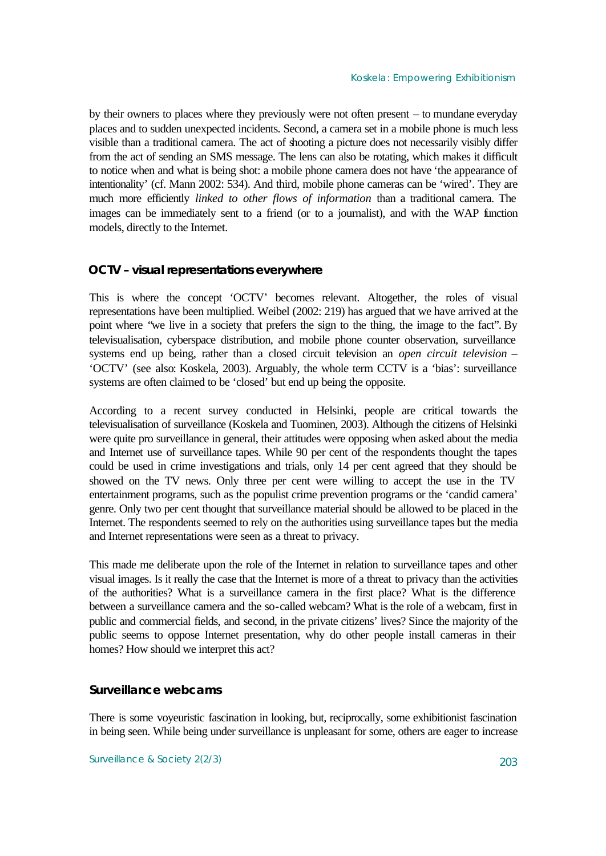by their owners to places where they previously were not often present – to mundane everyday places and to sudden unexpected incidents. Second, a camera set in a mobile phone is much less visible than a traditional camera. The act of shooting a picture does not necessarily visibly differ from the act of sending an SMS message. The lens can also be rotating, which makes it difficult to notice when and what is being shot: a mobile phone camera does not have 'the appearance of intentionality' (cf. Mann 2002: 534). And third, mobile phone cameras can be 'wired'. They are much more efficiently *linked to other flows of information* than a traditional camera. The images can be immediately sent to a friend (or to a journalist), and with the WAP function models, directly to the Internet.

#### **OCTV – visual representations everywhere**

This is where the concept 'OCTV' becomes relevant. Altogether, the roles of visual representations have been multiplied. Weibel (2002: 219) has argued that we have arrived at the point where "we live in a society that prefers the sign to the thing, the image to the fact". By televisualisation, cyberspace distribution, and mobile phone counter observation, surveillance systems end up being, rather than a closed circuit television an *open circuit television* – 'OCTV' (see also: Koskela, 2003). Arguably, the whole term CCTV is a 'bias': surveillance systems are often claimed to be 'closed' but end up being the opposite.

According to a recent survey conducted in Helsinki, people are critical towards the televisualisation of surveillance (Koskela and Tuominen, 2003). Although the citizens of Helsinki were quite pro surveillance in general, their attitudes were opposing when asked about the media and Internet use of surveillance tapes. While 90 per cent of the respondents thought the tapes could be used in crime investigations and trials, only 14 per cent agreed that they should be showed on the TV news. Only three per cent were willing to accept the use in the TV entertainment programs, such as the populist crime prevention programs or the 'candid camera' genre. Only two per cent thought that surveillance material should be allowed to be placed in the Internet. The respondents seemed to rely on the authorities using surveillance tapes but the media and Internet representations were seen as a threat to privacy.

This made me deliberate upon the role of the Internet in relation to surveillance tapes and other visual images. Is it really the case that the Internet is more of a threat to privacy than the activities of the authorities? What is a surveillance camera in the first place? What is the difference between a surveillance camera and the so-called webcam? What is the role of a webcam, first in public and commercial fields, and second, in the private citizens' lives? Since the majority of the public seems to oppose Internet presentation, why do other people install cameras in their homes? How should we interpret this act?

#### **Surveillance webcams**

There is some voyeuristic fascination in looking, but, reciprocally, some exhibitionist fascination in being seen. While being under surveillance is unpleasant for some, others are eager to increase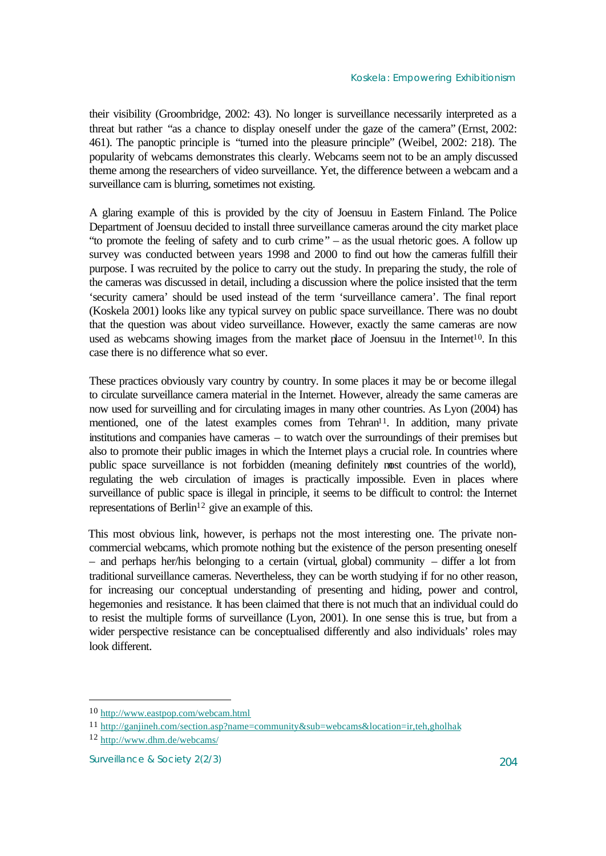their visibility (Groombridge, 2002: 43). No longer is surveillance necessarily interpreted as a threat but rather "as a chance to display oneself under the gaze of the camera" (Ernst, 2002: 461). The panoptic principle is "turned into the pleasure principle" (Weibel, 2002: 218). The popularity of webcams demonstrates this clearly. Webcams seem not to be an amply discussed theme among the researchers of video surveillance. Yet, the difference between a webcam and a surveillance cam is blurring, sometimes not existing.

A glaring example of this is provided by the city of Joensuu in Eastern Finland. The Police Department of Joensuu decided to install three surveillance cameras around the city market place "to promote the feeling of safety and to curb crime" – as the usual rhetoric goes. A follow up survey was conducted between years 1998 and 2000 to find out how the cameras fulfill their purpose. I was recruited by the police to carry out the study. In preparing the study, the role of the cameras was discussed in detail, including a discussion where the police insisted that the term 'security camera' should be used instead of the term 'surveillance camera'. The final report (Koskela 2001) looks like any typical survey on public space surveillance. There was no doubt that the question was about video surveillance. However, exactly the same cameras are now used as webcams showing images from the market place of Joensuu in the Internet<sup>10</sup>. In this case there is no difference what so ever.

These practices obviously vary country by country. In some places it may be or become illegal to circulate surveillance camera material in the Internet. However, already the same cameras are now used for surveilling and for circulating images in many other countries. As Lyon (2004) has mentioned, one of the latest examples comes from Tehran<sup>11</sup>. In addition, many private institutions and companies have cameras – to watch over the surroundings of their premises but also to promote their public images in which the Internet plays a crucial role. In countries where public space surveillance is not forbidden (meaning definitely most countries of the world), regulating the web circulation of images is practically impossible. Even in places where surveillance of public space is illegal in principle, it seems to be difficult to control: the Internet representations of Berlin<sup>12</sup> give an example of this.

This most obvious link, however, is perhaps not the most interesting one. The private noncommercial webcams, which promote nothing but the existence of the person presenting oneself – and perhaps her/his belonging to a certain (virtual, global) community – differ a lot from traditional surveillance cameras. Nevertheless, they can be worth studying if for no other reason, for increasing our conceptual understanding of presenting and hiding, power and control, hegemonies and resistance. It has been claimed that there is not much that an individual could do to resist the multiple forms of surveillance (Lyon, 2001). In one sense this is true, but from a wider perspective resistance can be conceptualised differently and also individuals' roles may look different.

1

<sup>10</sup> <http://www.eastpop.com/webcam.html>

<sup>11</sup> <http://ganjineh.com/section.asp?name=community&sub=webcams&location=ir,teh,gholhak>

<sup>12</sup> <http://www.dhm.de/webcams/>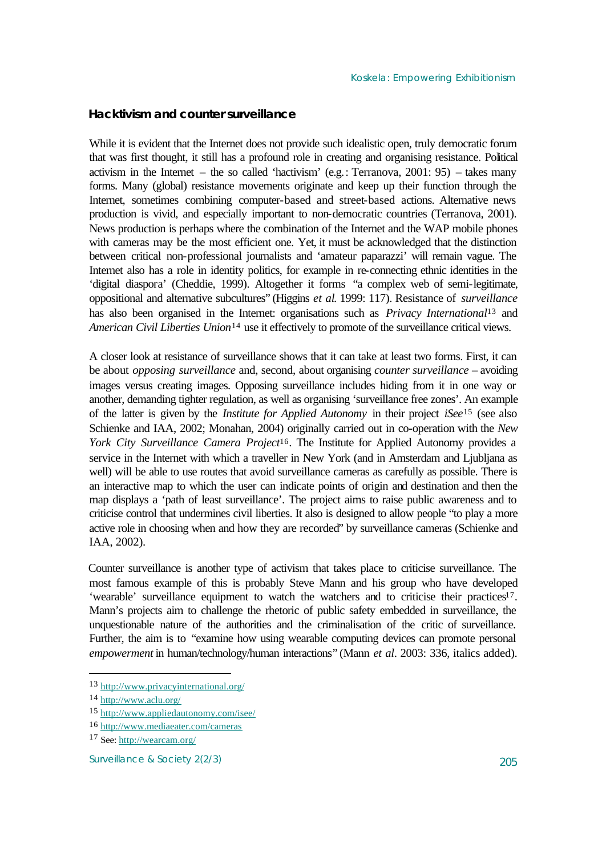#### **Hacktivism and counter surveillance**

While it is evident that the Internet does not provide such idealistic open, truly democratic forum that was first thought, it still has a profound role in creating and organising resistance. Political activism in the Internet – the so called 'hactivism' (e.g.: Terranova, 2001: 95) – takes many forms. Many (global) resistance movements originate and keep up their function through the Internet, sometimes combining computer-based and street-based actions. Alternative news production is vivid, and especially important to non-democratic countries (Terranova, 2001). News production is perhaps where the combination of the Internet and the WAP mobile phones with cameras may be the most efficient one. Yet, it must be acknowledged that the distinction between critical non-professional journalists and 'amateur paparazzi' will remain vague. The Internet also has a role in identity politics, for example in re-connecting ethnic identities in the 'digital diaspora' (Cheddie, 1999). Altogether it forms "a complex web of semi-legitimate, oppositional and alternative subcultures" (Higgins *et al*. 1999: 117). Resistance of *surveillance* has also been organised in the Internet: organisations such as *Privacy International*<sup>13</sup> and *American Civil Liberties Union*<sup>14</sup> use it effectively to promote of the surveillance critical views.

A closer look at resistance of surveillance shows that it can take at least two forms. First, it can be about *opposing surveillance* and, second, about organising *counter surveillance* – avoiding images versus creating images. Opposing surveillance includes hiding from it in one way or another, demanding tighter regulation, as well as organising 'surveillance free zones'. An example of the latter is given by the *Institute for Applied Autonomy* in their project *iSee*<sup>15</sup> (see also Schienke and IAA, 2002; Monahan, 2004) originally carried out in co-operation with the *New York City Surveillance Camera Project*16. The Institute for Applied Autonomy provides a service in the Internet with which a traveller in New York (and in Amsterdam and Ljubljana as well) will be able to use routes that avoid surveillance cameras as carefully as possible. There is an interactive map to which the user can indicate points of origin and destination and then the map displays a 'path of least surveillance'. The project aims to raise public awareness and to criticise control that undermines civil liberties. It also is designed to allow people "to play a more active role in choosing when and how they are recorded" by surveillance cameras (Schienke and IAA, 2002).

Counter surveillance is another type of activism that takes place to criticise surveillance. The most famous example of this is probably Steve Mann and his group who have developed 'wearable' surveillance equipment to watch the watchers and to criticise their practices<sup>17</sup>. Mann's projects aim to challenge the rhetoric of public safety embedded in surveillance, the unquestionable nature of the authorities and the criminalisation of the critic of surveillance. Further, the aim is to "examine how using wearable computing devices can promote personal *empowerment* in human/technology/human interactions" (Mann *et al*. 2003: 336, italics added).

1

<sup>13</sup> <http://www.privacyinternational.org/>

<sup>14</sup> <http://www.aclu.org/>

<sup>15</sup> <http://www.appliedautonomy.com/isee/>

<sup>16</sup> <http://www.mediaeater.com/cameras>

<sup>17</sup> See:<http://wearcam.org/>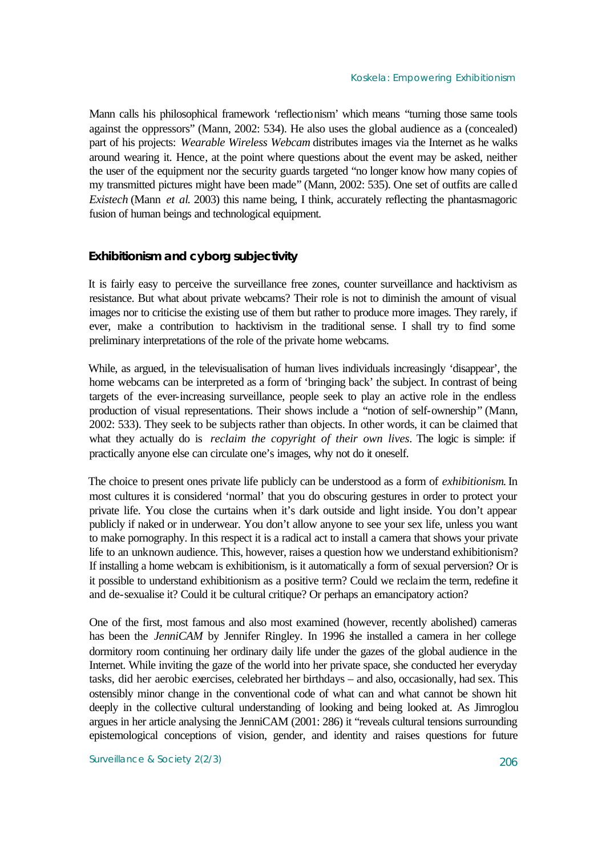Mann calls his philosophical framework 'reflectionism' which means "turning those same tools against the oppressors" (Mann, 2002: 534). He also uses the global audience as a (concealed) part of his projects: *Wearable Wireless Webcam* distributes images via the Internet as he walks around wearing it. Hence, at the point where questions about the event may be asked, neither the user of the equipment nor the security guards targeted "no longer know how many copies of my transmitted pictures might have been made" (Mann, 2002: 535). One set of outfits are called *Existech* (Mann *et al*. 2003) this name being, I think, accurately reflecting the phantasmagoric fusion of human beings and technological equipment.

#### **Exhibitionism and cyborg subjectivity**

It is fairly easy to perceive the surveillance free zones, counter surveillance and hacktivism as resistance. But what about private webcams? Their role is not to diminish the amount of visual images nor to criticise the existing use of them but rather to produce more images. They rarely, if ever, make a contribution to hacktivism in the traditional sense. I shall try to find some preliminary interpretations of the role of the private home webcams.

While, as argued, in the televisualisation of human lives individuals increasingly 'disappear', the home webcams can be interpreted as a form of 'bringing back' the subject. In contrast of being targets of the ever-increasing surveillance, people seek to play an active role in the endless production of visual representations. Their shows include a "notion of self-ownership" (Mann, 2002: 533). They seek to be subjects rather than objects. In other words, it can be claimed that what they actually do is *reclaim the copyright of their own lives*. The logic is simple: if practically anyone else can circulate one's images, why not do it oneself.

The choice to present ones private life publicly can be understood as a form of *exhibitionism*. In most cultures it is considered 'normal' that you do obscuring gestures in order to protect your private life. You close the curtains when it's dark outside and light inside. You don't appear publicly if naked or in underwear. You don't allow anyone to see your sex life, unless you want to make pornography. In this respect it is a radical act to install a camera that shows your private life to an unknown audience. This, however, raises a question how we understand exhibitionism? If installing a home webcam is exhibitionism, is it automatically a form of sexual perversion? Or is it possible to understand exhibitionism as a positive term? Could we reclaim the term, redefine it and de-sexualise it? Could it be cultural critique? Or perhaps an emancipatory action?

One of the first, most famous and also most examined (however, recently abolished) cameras has been the *JenniCAM* by Jennifer Ringley. In 1996 she installed a camera in her college dormitory room continuing her ordinary daily life under the gazes of the global audience in the Internet. While inviting the gaze of the world into her private space, she conducted her everyday tasks, did her aerobic exercises, celebrated her birthdays – and also, occasionally, had sex. This ostensibly minor change in the conventional code of what can and what cannot be shown hit deeply in the collective cultural understanding of looking and being looked at. As Jimroglou argues in her article analysing the JenniCAM (2001: 286) it "reveals cultural tensions surrounding epistemological conceptions of vision, gender, and identity and raises questions for future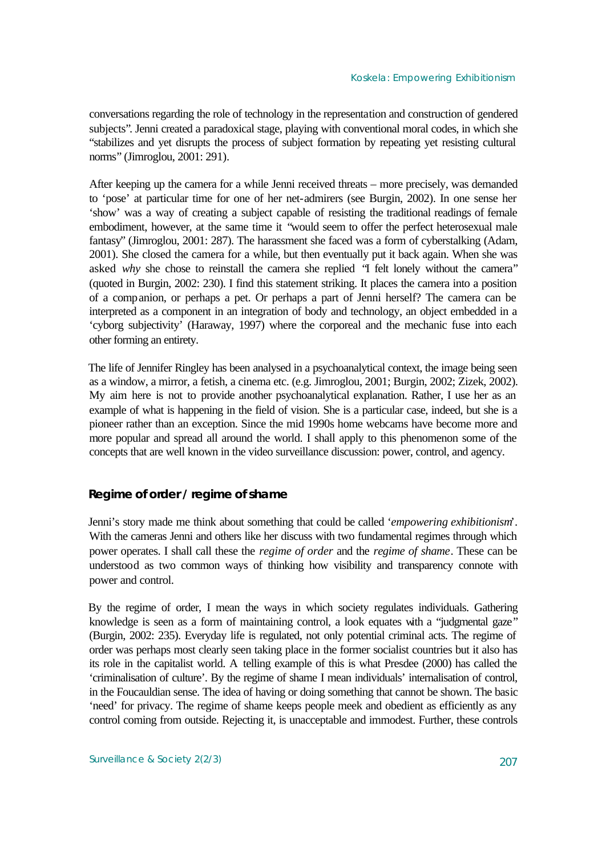conversations regarding the role of technology in the representation and construction of gendered subjects". Jenni created a paradoxical stage, playing with conventional moral codes, in which she "stabilizes and yet disrupts the process of subject formation by repeating yet resisting cultural norms" (Jimroglou, 2001: 291).

After keeping up the camera for a while Jenni received threats – more precisely, was demanded to 'pose' at particular time for one of her net-admirers (see Burgin, 2002). In one sense her 'show' was a way of creating a subject capable of resisting the traditional readings of female embodiment, however, at the same time it "would seem to offer the perfect heterosexual male fantasy" (Jimroglou, 2001: 287). The harassment she faced was a form of cyberstalking (Adam, 2001). She closed the camera for a while, but then eventually put it back again. When she was asked *why* she chose to reinstall the camera she replied "I felt lonely without the camera" (quoted in Burgin, 2002: 230). I find this statement striking. It places the camera into a position of a companion, or perhaps a pet. Or perhaps a part of Jenni herself? The camera can be interpreted as a component in an integration of body and technology, an object embedded in a 'cyborg subjectivity' (Haraway, 1997) where the corporeal and the mechanic fuse into each other forming an entirety.

The life of Jennifer Ringley has been analysed in a psychoanalytical context, the image being seen as a window, a mirror, a fetish, a cinema etc. (e.g. Jimroglou, 2001; Burgin, 2002; Zizek, 2002). My aim here is not to provide another psychoanalytical explanation. Rather, I use her as an example of what is happening in the field of vision. She is a particular case, indeed, but she is a pioneer rather than an exception. Since the mid 1990s home webcams have become more and more popular and spread all around the world. I shall apply to this phenomenon some of the concepts that are well known in the video surveillance discussion: power, control, and agency.

# **Regime of order / regime of shame**

Jenni's story made me think about something that could be called '*empowering exhibitionism*'. With the cameras Jenni and others like her discuss with two fundamental regimes through which power operates. I shall call these the *regime of order* and the *regime of shame*. These can be understood as two common ways of thinking how visibility and transparency connote with power and control.

By the regime of order, I mean the ways in which society regulates individuals. Gathering knowledge is seen as a form of maintaining control, a look equates with a "judgmental gaze" (Burgin, 2002: 235). Everyday life is regulated, not only potential criminal acts. The regime of order was perhaps most clearly seen taking place in the former socialist countries but it also has its role in the capitalist world. A telling example of this is what Presdee (2000) has called the 'criminalisation of culture'. By the regime of shame I mean individuals' internalisation of control, in the Foucauldian sense. The idea of having or doing something that cannot be shown. The basic 'need' for privacy. The regime of shame keeps people meek and obedient as efficiently as any control coming from outside. Rejecting it, is unacceptable and immodest. Further, these controls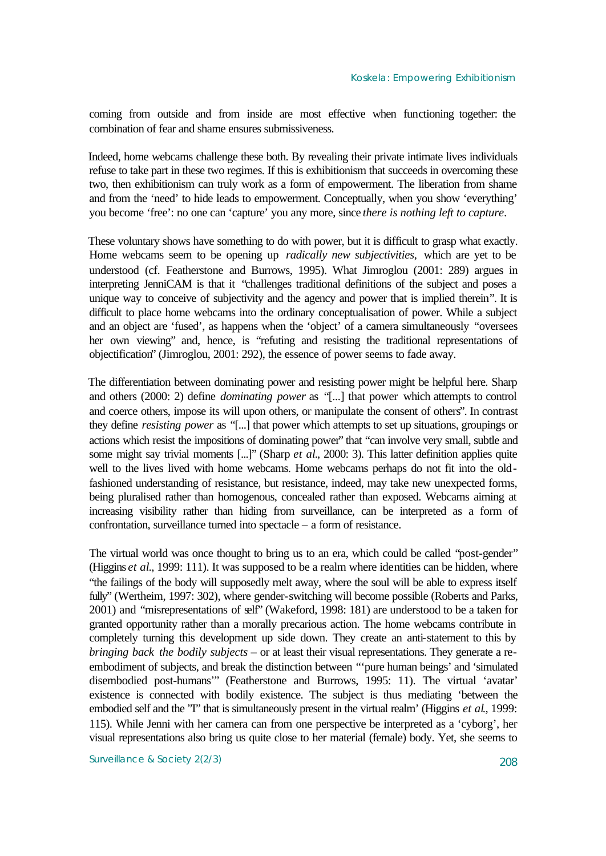coming from outside and from inside are most effective when functioning together: the combination of fear and shame ensures submissiveness.

Indeed, home webcams challenge these both. By revealing their private intimate lives individuals refuse to take part in these two regimes. If this is exhibitionism that succeeds in overcoming these two, then exhibitionism can truly work as a form of empowerment. The liberation from shame and from the 'need' to hide leads to empowerment. Conceptually, when you show 'everything' you become 'free': no one can 'capture' you any more, since *there is nothing left to capture*.

These voluntary shows have something to do with power, but it is difficult to grasp what exactly. Home webcams seem to be opening up *radically new subjectivities,* which are yet to be understood (cf. Featherstone and Burrows, 1995). What Jimroglou (2001: 289) argues in interpreting JenniCAM is that it "challenges traditional definitions of the subject and poses a unique way to conceive of subjectivity and the agency and power that is implied therein". It is difficult to place home webcams into the ordinary conceptualisation of power. While a subject and an object are 'fused', as happens when the 'object' of a camera simultaneously "oversees her own viewing" and, hence, is "refuting and resisting the traditional representations of objectification" (Jimroglou, 2001: 292), the essence of power seems to fade away.

The differentiation between dominating power and resisting power might be helpful here. Sharp and others (2000: 2) define *dominating power* as "[...] that power which attempts to control and coerce others, impose its will upon others, or manipulate the consent of others". In contrast they define *resisting power* as "[...] that power which attempts to set up situations, groupings or actions which resist the impositions of dominating power" that "can involve very small, subtle and some might say trivial moments [...]" (Sharp *et al*., 2000: 3). This latter definition applies quite well to the lives lived with home webcams. Home webcams perhaps do not fit into the oldfashioned understanding of resistance, but resistance, indeed, may take new unexpected forms, being pluralised rather than homogenous, concealed rather than exposed. Webcams aiming at increasing visibility rather than hiding from surveillance, can be interpreted as a form of confrontation, surveillance turned into spectacle – a form of resistance.

The virtual world was once thought to bring us to an era, which could be called "post-gender" (Higgins *et al*., 1999: 111). It was supposed to be a realm where identities can be hidden, where "the failings of the body will supposedly melt away, where the soul will be able to express itself fully" (Wertheim, 1997: 302), where gender-switching will become possible (Roberts and Parks, 2001) and "misrepresentations of self" (Wakeford, 1998: 181) are understood to be a taken for granted opportunity rather than a morally precarious action. The home webcams contribute in completely turning this development up side down. They create an anti-statement to this by *bringing back the bodily subjects* – or at least their visual representations. They generate a reembodiment of subjects, and break the distinction between "'pure human beings' and 'simulated disembodied post-humans'" (Featherstone and Burrows, 1995: 11). The virtual 'avatar' existence is connected with bodily existence. The subject is thus mediating 'between the embodied self and the "I" that is simultaneously present in the virtual realm' (Higgins *et al*., 1999: 115). While Jenni with her camera can from one perspective be interpreted as a 'cyborg', her visual representations also bring us quite close to her material (female) body. Yet, she seems to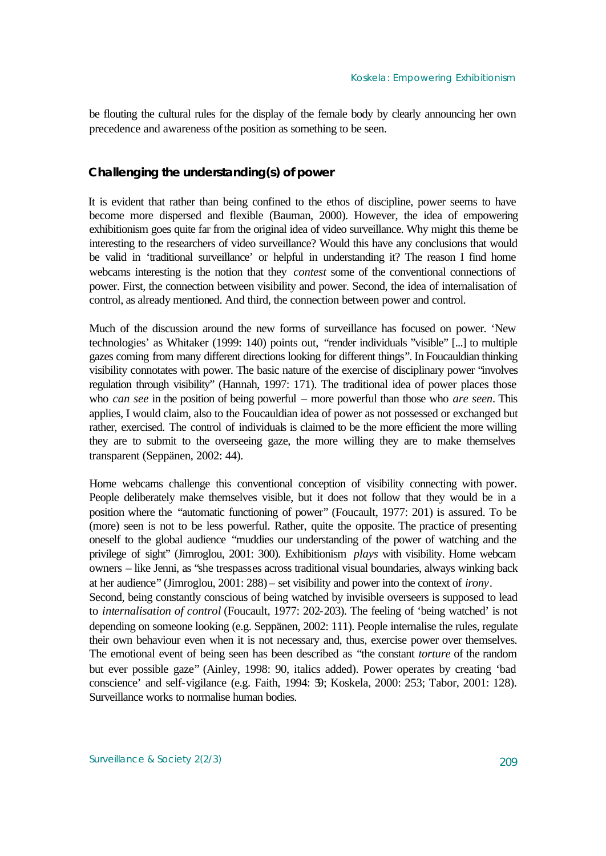be flouting the cultural rules for the display of the female body by clearly announcing her own precedence and awareness of the position as something to be seen.

# **Challenging the understanding(s) of power**

It is evident that rather than being confined to the ethos of discipline, power seems to have become more dispersed and flexible (Bauman, 2000). However, the idea of empowering exhibitionism goes quite far from the original idea of video surveillance. Why might this theme be interesting to the researchers of video surveillance? Would this have any conclusions that would be valid in 'traditional surveillance' or helpful in understanding it? The reason I find home webcams interesting is the notion that they *contest* some of the conventional connections of power. First, the connection between visibility and power. Second, the idea of internalisation of control, as already mentioned. And third, the connection between power and control.

Much of the discussion around the new forms of surveillance has focused on power. 'New technologies' as Whitaker (1999: 140) points out, "render individuals "visible" [...] to multiple gazes coming from many different directions looking for different things". In Foucauldian thinking visibility connotates with power. The basic nature of the exercise of disciplinary power "involves regulation through visibility" (Hannah, 1997: 171). The traditional idea of power places those who *can see* in the position of being powerful – more powerful than those who *are seen*. This applies, I would claim, also to the Foucauldian idea of power as not possessed or exchanged but rather, exercised. The control of individuals is claimed to be the more efficient the more willing they are to submit to the overseeing gaze, the more willing they are to make themselves transparent (Seppänen, 2002: 44).

Home webcams challenge this conventional conception of visibility connecting with power. People deliberately make themselves visible, but it does not follow that they would be in a position where the "automatic functioning of power" (Foucault, 1977: 201) is assured. To be (more) seen is not to be less powerful. Rather, quite the opposite. The practice of presenting oneself to the global audience "muddies our understanding of the power of watching and the privilege of sight" (Jimroglou, 2001: 300). Exhibitionism *plays* with visibility. Home webcam owners – like Jenni, as "she trespasses across traditional visual boundaries, always winking back at her audience" (Jimroglou, 2001: 288) – set visibility and power into the context of *irony*.

Second, being constantly conscious of being watched by invisible overseers is supposed to lead to *internalisation of control* (Foucault, 1977: 202-203). The feeling of 'being watched' is not depending on someone looking (e.g. Seppänen, 2002: 111). People internalise the rules, regulate their own behaviour even when it is not necessary and, thus, exercise power over themselves. The emotional event of being seen has been described as "the constant *torture* of the random but ever possible gaze" (Ainley, 1998: 90, italics added). Power operates by creating 'bad conscience' and self-vigilance (e.g. Faith, 1994: 59; Koskela, 2000: 253; Tabor, 2001: 128). Surveillance works to normalise human bodies.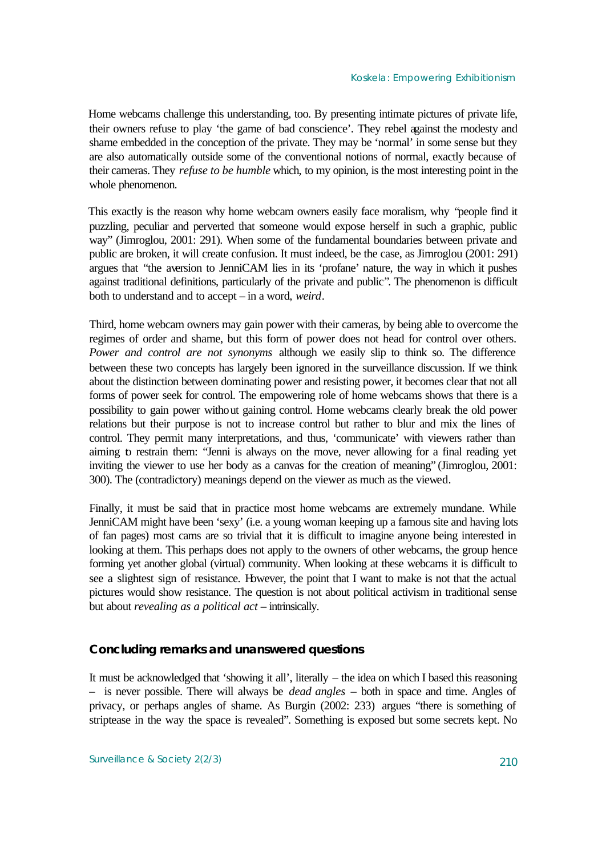Home webcams challenge this understanding, too. By presenting intimate pictures of private life, their owners refuse to play 'the game of bad conscience'. They rebel against the modesty and shame embedded in the conception of the private. They may be 'normal' in some sense but they are also automatically outside some of the conventional notions of normal, exactly because of their cameras. They *refuse to be humble* which, to my opinion, is the most interesting point in the whole phenomenon.

This exactly is the reason why home webcam owners easily face moralism, why "people find it puzzling, peculiar and perverted that someone would expose herself in such a graphic, public way" (Jimroglou, 2001: 291). When some of the fundamental boundaries between private and public are broken, it will create confusion. It must indeed, be the case, as Jimroglou (2001: 291) argues that "the aversion to JenniCAM lies in its 'profane' nature, the way in which it pushes against traditional definitions, particularly of the private and public". The phenomenon is difficult both to understand and to accept – in a word, *weird*.

Third, home webcam owners may gain power with their cameras, by being able to overcome the regimes of order and shame, but this form of power does not head for control over others. *Power and control are not synonyms* although we easily slip to think so. The difference between these two concepts has largely been ignored in the surveillance discussion. If we think about the distinction between dominating power and resisting power, it becomes clear that not all forms of power seek for control. The empowering role of home webcams shows that there is a possibility to gain power without gaining control. Home webcams clearly break the old power relations but their purpose is not to increase control but rather to blur and mix the lines of control. They permit many interpretations, and thus, 'communicate' with viewers rather than aiming to restrain them: "Jenni is always on the move, never allowing for a final reading yet inviting the viewer to use her body as a canvas for the creation of meaning" (Jimroglou, 2001: 300). The (contradictory) meanings depend on the viewer as much as the viewed.

Finally, it must be said that in practice most home webcams are extremely mundane. While JenniCAM might have been 'sexy' (i.e. a young woman keeping up a famous site and having lots of fan pages) most cams are so trivial that it is difficult to imagine anyone being interested in looking at them. This perhaps does not apply to the owners of other webcams, the group hence forming yet another global (virtual) community. When looking at these webcams it is difficult to see a slightest sign of resistance. However, the point that I want to make is not that the actual pictures would show resistance. The question is not about political activism in traditional sense but about *revealing as a political act* – intrinsically.

# **Concluding remarks and unanswered questions**

It must be acknowledged that 'showing it all', literally – the idea on which I based this reasoning – is never possible. There will always be *dead angles* – both in space and time. Angles of privacy, or perhaps angles of shame. As Burgin (2002: 233) argues "there is something of striptease in the way the space is revealed". Something is exposed but some secrets kept. No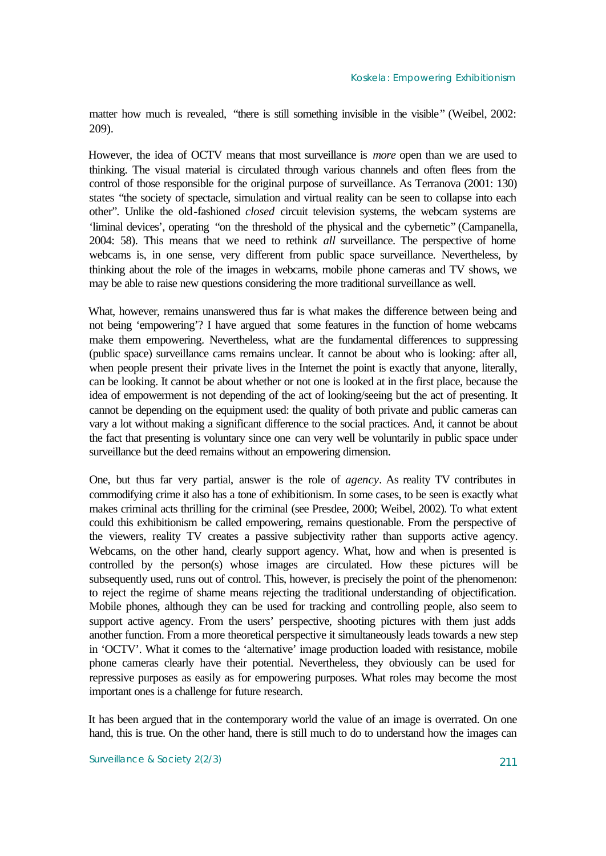matter how much is revealed, "there is still something invisible in the visible" (Weibel, 2002: 209).

However, the idea of OCTV means that most surveillance is *more* open than we are used to thinking. The visual material is circulated through various channels and often flees from the control of those responsible for the original purpose of surveillance. As Terranova (2001: 130) states "the society of spectacle, simulation and virtual reality can be seen to collapse into each other". Unlike the old-fashioned *closed* circuit television systems, the webcam systems are 'liminal devices', operating "on the threshold of the physical and the cybernetic" (Campanella, 2004: 58). This means that we need to rethink *all* surveillance. The perspective of home webcams is, in one sense, very different from public space surveillance. Nevertheless, by thinking about the role of the images in webcams, mobile phone cameras and TV shows, we may be able to raise new questions considering the more traditional surveillance as well.

What, however, remains unanswered thus far is what makes the difference between being and not being 'empowering'? I have argued that some features in the function of home webcams make them empowering. Nevertheless, what are the fundamental differences to suppressing (public space) surveillance cams remains unclear. It cannot be about who is looking: after all, when people present their private lives in the Internet the point is exactly that anyone, literally, can be looking. It cannot be about whether or not one is looked at in the first place, because the idea of empowerment is not depending of the act of looking/seeing but the act of presenting. It cannot be depending on the equipment used: the quality of both private and public cameras can vary a lot without making a significant difference to the social practices. And, it cannot be about the fact that presenting is voluntary since one can very well be voluntarily in public space under surveillance but the deed remains without an empowering dimension.

One, but thus far very partial, answer is the role of *agency*. As reality TV contributes in commodifying crime it also has a tone of exhibitionism. In some cases, to be seen is exactly what makes criminal acts thrilling for the criminal (see Presdee, 2000; Weibel, 2002). To what extent could this exhibitionism be called empowering, remains questionable. From the perspective of the viewers, reality TV creates a passive subjectivity rather than supports active agency. Webcams, on the other hand, clearly support agency. What, how and when is presented is controlled by the person(s) whose images are circulated. How these pictures will be subsequently used, runs out of control. This, however, is precisely the point of the phenomenon: to reject the regime of shame means rejecting the traditional understanding of objectification. Mobile phones, although they can be used for tracking and controlling people, also seem to support active agency. From the users' perspective, shooting pictures with them just adds another function. From a more theoretical perspective it simultaneously leads towards a new step in 'OCTV'. What it comes to the 'alternative' image production loaded with resistance, mobile phone cameras clearly have their potential. Nevertheless, they obviously can be used for repressive purposes as easily as for empowering purposes. What roles may become the most important ones is a challenge for future research.

It has been argued that in the contemporary world the value of an image is overrated. On one hand, this is true. On the other hand, there is still much to do to understand how the images can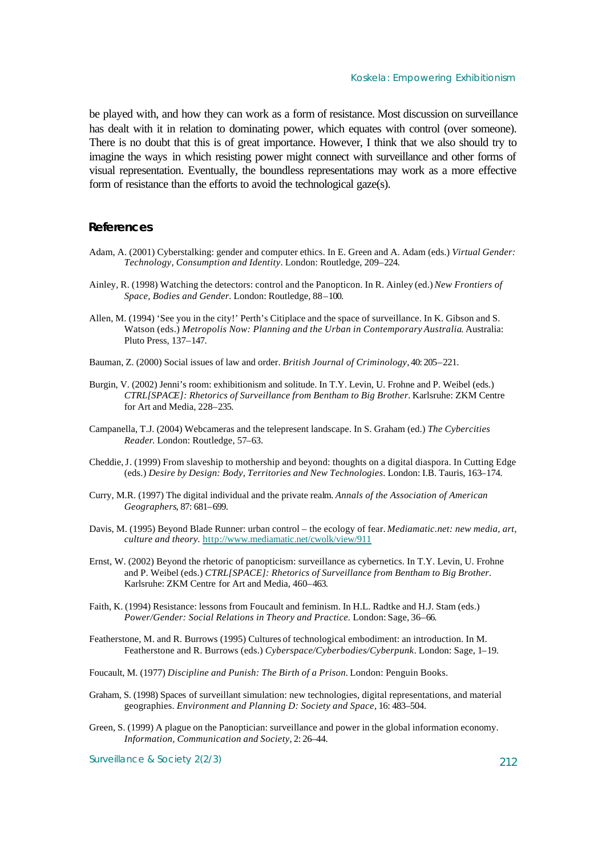be played with, and how they can work as a form of resistance. Most discussion on surveillance has dealt with it in relation to dominating power, which equates with control (over someone). There is no doubt that this is of great importance. However, I think that we also should try to imagine the ways in which resisting power might connect with surveillance and other forms of visual representation. Eventually, the boundless representations may work as a more effective form of resistance than the efforts to avoid the technological gaze(s).

#### **References**

- Adam, A. (2001) Cyberstalking: gender and computer ethics. In E. Green and A. Adam (eds.) *Virtual Gender: Technology, Consumption and Identity*. London: Routledge, 209–224.
- Ainley, R. (1998) Watching the detectors: control and the Panopticon. In R. Ainley (ed.) *New Frontiers of Space, Bodies and Gender.* London: Routledge, 88–100.
- Allen, M. (1994) 'See you in the city!' Perth's Citiplace and the space of surveillance. In K. Gibson and S. Watson (eds.) *Metropolis Now: Planning and the Urban in Contemporary Australia*. Australia: Pluto Press, 137–147.
- Bauman, Z. (2000) Social issues of law and order. *British Journal of Criminology*, 40: 205–221.
- Burgin, V. (2002) Jenni's room: exhibitionism and solitude. In T.Y. Levin, U. Frohne and P. Weibel (eds.) *CTRL[SPACE]: Rhetorics of Surveillance from Bentham to Big Brother.* Karlsruhe: ZKM Centre for Art and Media, 228–235.
- Campanella, T.J. (2004) Webcameras and the telepresent landscape. In S. Graham (ed.) *The Cybercities Reader*. London: Routledge, 57–63.
- Cheddie, J. (1999) From slaveship to mothership and beyond: thoughts on a digital diaspora. In Cutting Edge (eds.) *Desire by Design: Body, Territories and New Technologies.* London: I.B. Tauris, 163–174.
- Curry, M.R. (1997) The digital individual and the private realm. *Annals of the Association of American Geographers*, 87: 681–699.
- Davis, M. (1995) Beyond Blade Runner: urban control the ecology of fear. *Mediamatic.net: new media, art, culture and theory.* <http://www.mediamatic.net/cwolk/view/911>
- Ernst, W. (2002) Beyond the rhetoric of panopticism: surveillance as cybernetics. In T.Y. Levin, U. Frohne and P. Weibel (eds.) *CTRL[SPACE]: Rhetorics of Surveillance from Bentham to Big Brother.* Karlsruhe: ZKM Centre for Art and Media, 460–463.
- Faith, K. (1994) Resistance: lessons from Foucault and feminism. In H.L. Radtke and H.J. Stam (eds.) *Power/Gender: Social Relations in Theory and Practice.* London: Sage, 36–66.
- Featherstone, M. and R. Burrows (1995) Cultures of technological embodiment: an introduction. In M. Featherstone and R. Burrows (eds.) *Cyberspace/Cyberbodies/Cyberpunk*. London: Sage, 1–19.
- Foucault, M. (1977) *Discipline and Punish: The Birth of a Prison.* London: Penguin Books.
- Graham, S. (1998) Spaces of surveillant simulation: new technologies, digital representations, and material geographies. *Environment and Planning D: Society and Space*, 16: 483–504.
- Green, S. (1999) A plague on the Panoptician: surveillance and power in the global information economy. *Information, Communication and Society*, 2: 26–44.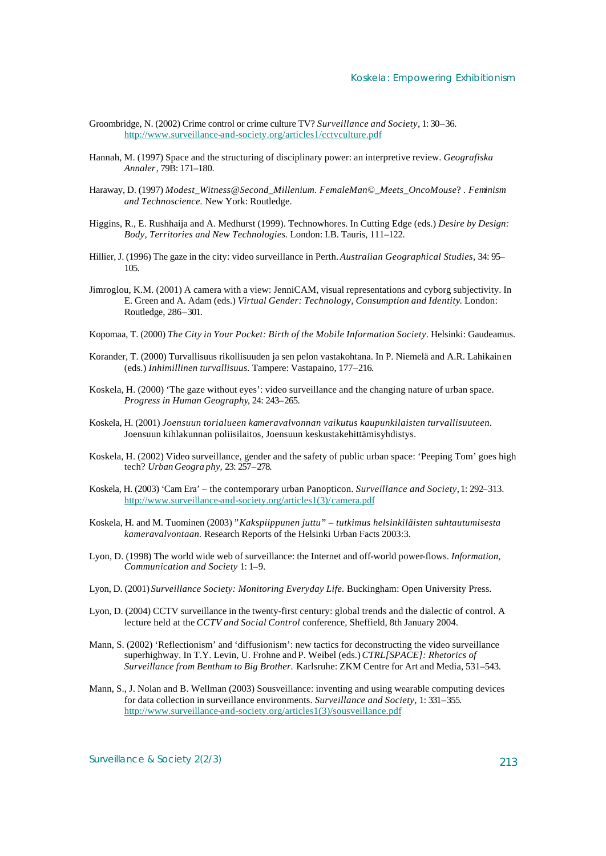- Groombridge, N. (2002) Crime control or crime culture TV? *Surveillance and Society*, 1: 30–36. <http://www.surveillance-and-society.org/articles1/cctvculture.pdf>
- Hannah, M. (1997) Space and the structuring of disciplinary power: an interpretive review. *Geografiska Annaler*, 79B: 171–180.
- Haraway, D. (1997) *Modest\_Witness@Second\_Millenium. FemaleMan©\_Meets\_OncoMouse*? *. Feminism and Technoscience.* New York: Routledge.
- Higgins, R., E. Rushhaija and A. Medhurst (1999). Technowhores. In Cutting Edge (eds.) *Desire by Design: Body, Territories and New Technologies.* London: I.B. Tauris, 111–122.
- Hillier, J. (1996) The gaze in the city: video surveillance in Perth. *Australian Geographical Studies,* 34: 95– 105.
- Jimroglou, K.M. (2001) A camera with a view: JenniCAM, visual representations and cyborg subjectivity. In E. Green and A. Adam (eds.) *Virtual Gender: Technology, Consumption and Identity*. London: Routledge, 286–301.
- Kopomaa, T. (2000) *The City in Your Pocket: Birth of the Mobile Information Society*. Helsinki: Gaudeamus.
- Korander, T. (2000) Turvallisuus rikollisuuden ja sen pelon vastakohtana. In P. Niemelä and A.R. Lahikainen (eds.) *Inhimillinen turvallisuus.* Tampere: Vastapaino, 177–216.
- Koskela, H. (2000) 'The gaze without eyes': video surveillance and the changing nature of urban space. *Progress in Human Geography*, 24: 243–265.
- Koskela, H. (2001) *Joensuun torialueen kameravalvonnan vaikutus kaupunkilaisten turvallisuuteen.* Joensuun kihlakunnan poliisilaitos, Joensuun keskustakehittämisyhdistys.
- Koskela, H. (2002) Video surveillance, gender and the safety of public urban space: 'Peeping Tom' goes high tech? *Urban Geogra phy,* 23: 257–278.
- Koskela, H. (2003) 'Cam Era' the contemporary urban Panopticon. *Surveillance and Society,* 1: 292–313. [http://www.surveillance-and-society.org/articles1\(3\)/camera.pdf](http://www.surveillance-and-society.org/articles1(3)/camera.pdf)
- Koskela, H. and M. Tuominen (2003) "*Kakspiippunen juttu*"  *tutkimus helsinkiläisten suhtautumisesta kameravalvontaan.* Research Reports of the Helsinki Urban Facts 2003:3.
- Lyon, D. (1998) The world wide web of surveillance: the Internet and off-world power-flows. *Information, Communication and Society* 1: 1–9.
- Lyon, D. (2001) *Surveillance Society: Monitoring Everyday Life.* Buckingham: Open University Press.
- Lyon, D. (2004) CCTV surveillance in the twenty-first century: global trends and the dialectic of control. A lecture held at the *CCTV and Social Control* conference, Sheffield, 8th January 2004.
- Mann, S. (2002) 'Reflectionism' and 'diffusionism': new tactics for deconstructing the video surveillance superhighway. In T.Y. Levin, U. Frohne and P. Weibel (eds.) *CTRL[SPACE]: Rhetorics of Surveillance from Bentham to Big Brother.* Karlsruhe: ZKM Centre for Art and Media, 531–543.
- Mann, S., J. Nolan and B. Wellman (2003) Sousveillance: inventing and using wearable computing devices for data collection in surveillance environments. *Surveillance and Society,* 1: 331–355. [http://www.surveillance-and-society.org/articles1\(3\)/sousveillance.pdf](http://www.surveillance-and-society.org/articles1(3)/sousveillance.pdf)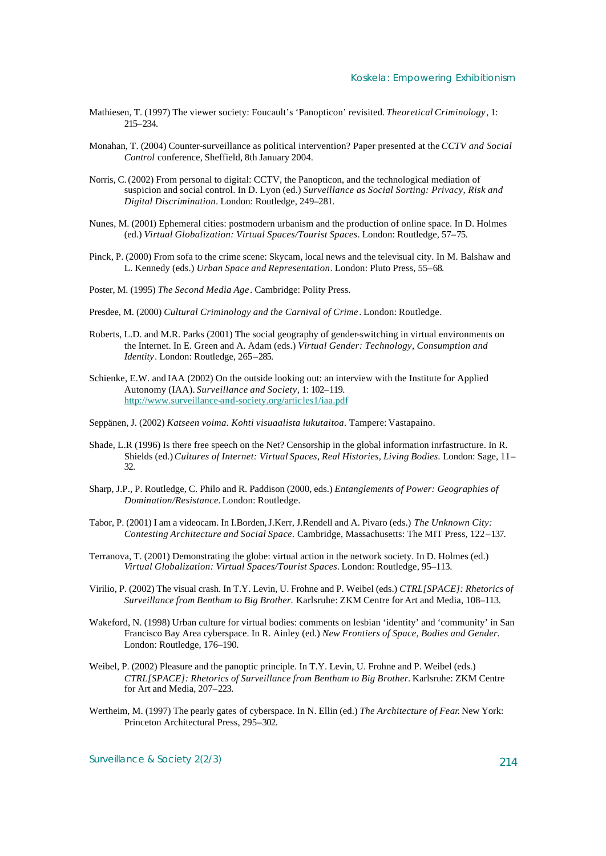- Mathiesen, T. (1997) The viewer society: Foucault's 'Panopticon' revisited. *Theoretical Criminology*, 1: 215–234.
- Monahan, T. (2004) Counter-surveillance as political intervention? Paper presented at the *CCTV and Social Control* conference, Sheffield, 8th January 2004.
- Norris, C. (2002) From personal to digital: CCTV, the Panopticon, and the technological mediation of suspicion and social control. In D. Lyon (ed.) *Surveillance as Social Sorting: Privacy, Risk and Digital Discrimination*. London: Routledge, 249–281.
- Nunes, M. (2001) Ephemeral cities: postmodern urbanism and the production of online space. In D. Holmes (ed.) *Virtual Globalization: Virtual Spaces/Tourist Spaces*. London: Routledge, 57–75.
- Pinck, P. (2000) From sofa to the crime scene: Skycam, local news and the televisual city. In M. Balshaw and L. Kennedy (eds.) *Urban Space and Representation*. London: Pluto Press, 55–68.
- Poster, M. (1995) *The Second Media Age*. Cambridge: Polity Press.
- Presdee, M. (2000) *Cultural Criminology and the Carnival of Crime*. London: Routledge.
- Roberts, L.D. and M.R. Parks (2001) The social geography of gender-switching in virtual environments on the Internet. In E. Green and A. Adam (eds.) *Virtual Gender: Technology, Consumption and Identity*. London: Routledge, 265–285.
- Schienke, E.W. and IAA (2002) On the outside looking out: an interview with the Institute for Applied Autonomy (IAA). *Surveillance and Society,* 1: 102–119. <http://www.surveillance-and-society.org/articles1/iaa.pdf>
- Seppänen, J. (2002) *Katseen voima. Kohti visuaalista lukutaitoa.* Tampere: Vastapaino.
- Shade, L.R (1996) Is there free speech on the Net? Censorship in the global information inrfastructure. In R. Shields (ed.) *Cultures of Internet: Virtual Spaces, Real Histories, Living Bodies.* London: Sage, 11– 32.
- Sharp, J.P., P. Routledge, C. Philo and R. Paddison (2000, eds.) *Entanglements of Power: Geographies of Domination/Resistance.* London: Routledge.
- Tabor, P. (2001) I am a videocam. In I.Borden, J.Kerr, J.Rendell and A. Pivaro (eds.) *The Unknown City: Contesting Architecture and Social Space.* Cambridge, Massachusetts: The MIT Press, 122–137.
- Terranova, T. (2001) Demonstrating the globe: virtual action in the network society. In D. Holmes (ed.) *Virtual Globalization: Virtual Spaces/Tourist Spaces.* London: Routledge, 95–113.
- Virilio, P. (2002) The visual crash. In T.Y. Levin, U. Frohne and P. Weibel (eds.) *CTRL[SPACE]: Rhetorics of Surveillance from Bentham to Big Brother.* Karlsruhe: ZKM Centre for Art and Media, 108–113.
- Wakeford, N. (1998) Urban culture for virtual bodies: comments on lesbian 'identity' and 'community' in San Francisco Bay Area cyberspace. In R. Ainley (ed.) *New Frontiers of Space, Bodies and Gender.* London: Routledge, 176–190.
- Weibel, P. (2002) Pleasure and the panoptic principle. In T.Y. Levin, U. Frohne and P. Weibel (eds.) *CTRL[SPACE]: Rhetorics of Surveillance from Bentham to Big Brother.* Karlsruhe: ZKM Centre for Art and Media, 207–223.
- Wertheim, M. (1997) The pearly gates of cyberspace. In N. Ellin (ed.) *The Architecture of Fear*. New York: Princeton Architectural Press, 295–302.